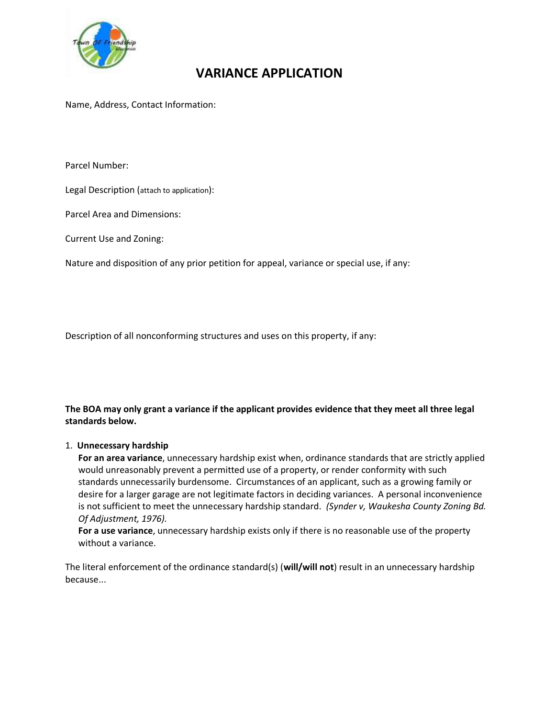

## **VARIANCE APPLICATION**

Name, Address, Contact Information:

Parcel Number:

Legal Description (attach to application):

Parcel Area and Dimensions:

Current Use and Zoning:

Nature and disposition of any prior petition for appeal, variance or special use, if any:

Description of all nonconforming structures and uses on this property, if any:

**The BOA may only grant a variance if the applicant provides evidence that they meet all three legal standards below.**

## 1. **Unnecessary hardship**

**For an area variance**, unnecessary hardship exist when, ordinance standards that are strictly applied would unreasonably prevent a permitted use of a property, or render conformity with such standards unnecessarily burdensome. Circumstances of an applicant, such as a growing family or desire for a larger garage are not legitimate factors in deciding variances. A personal inconvenience is not sufficient to meet the unnecessary hardship standard. *(Synder v, Waukesha County Zoning Bd. Of Adjustment, 1976).*

**For a use variance**, unnecessary hardship exists only if there is no reasonable use of the property without a variance.

The literal enforcement of the ordinance standard(s) (**will/will not**) result in an unnecessary hardship because...